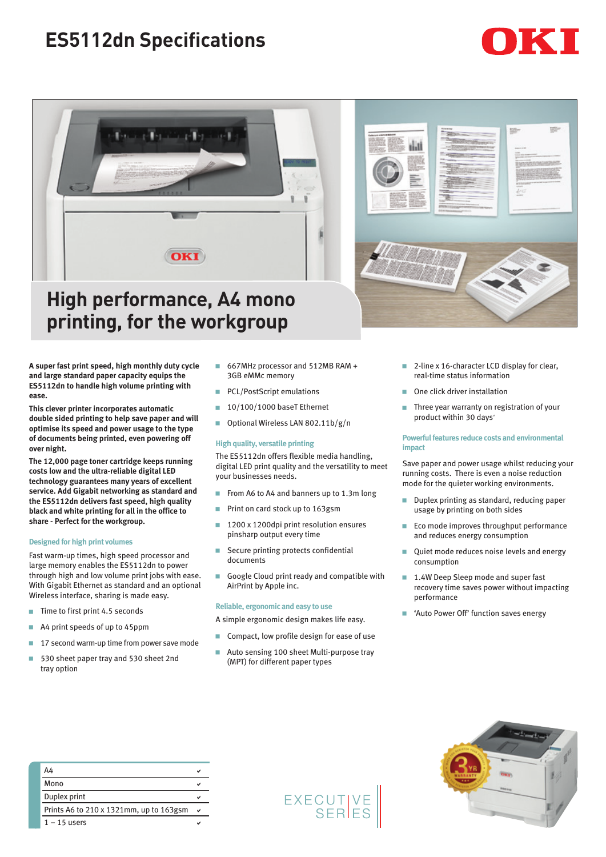# **ES5112dn Specifications**





# **High performance, A4 mono printing, for the workgroup**

**A super fast print speed, high monthly duty cycle and large standard paper capacity equips the ES5112dn to handle high volume printing with ease.** 

**This clever printer incorporates automatic double sided printing to help save paper and will optimise its speed and power usage to the type of documents being printed, even powering off over night.** 

**The 12,000 page toner cartridge keeps running costs low and the ultra-reliable digital LED technology guarantees many years of excellent service. Add Gigabit networking as standard and the ES5112dn delivers fast speed, high quality black and white printing for all in the office to share - Perfect for the workgroup.**

### **Designed for high print volumes**

Fast warm-up times, high speed processor and large memory enables the ES5112dn to power through high and low volume print jobs with ease. With Gigabit Ethernet as standard and an optional Wireless interface, sharing is made easy.

- $\blacksquare$  Time to first print 4.5 seconds
- $\blacksquare$  A4 print speeds of up to 45ppm
- $\blacksquare$  17 second warm-up time from power save mode
- 530 sheet paper tray and 530 sheet 2nd tray option
- 667MHz processor and 512MB RAM + 3GB eMMc memory
- **PCL/PostScript emulations**
- $10/100/1000$  baseT Ethernet
- Optional Wireless LAN 802.11b/g/n

## **High quality, versatile printing**

The ES5112dn offers flexible media handling, digital LED print quality and the versatility to meet your businesses needs.

- From A6 to A4 and banners up to 1.3m long
- **Print on card stock up to 163gsm**
- 1200 x 1200dpi print resolution ensures pinsharp output every time
- $\blacksquare$  Secure printing protects confidential documents
- Google Cloud print ready and compatible with AirPrint by Apple inc.

#### **Reliable, ergonomic and easy to use**

- A simple ergonomic design makes life easy.
- Compact, low profile design for ease of use
- Auto sensing 100 sheet Multi-purpose tray (MPT) for different paper types



- 2-line x 16-character LCD display for clear, real-time status information
- One click driver installation
- $\blacksquare$  Three year warranty on registration of your product within 30 days^

### **Powerful features reduce costs and environmental impact**

Save paper and power usage whilst reducing your running costs. There is even a noise reduction mode for the quieter working environments.

- Duplex printing as standard, reducing paper usage by printing on both sides
- $\blacksquare$  Eco mode improves throughput performance and reduces energy consumption
- **Quiet mode reduces noise levels and energy** consumption
- 1.4W Deep Sleep mode and super fast recovery time saves power without impacting performance
- **B** 'Auto Power Off' function saves energy